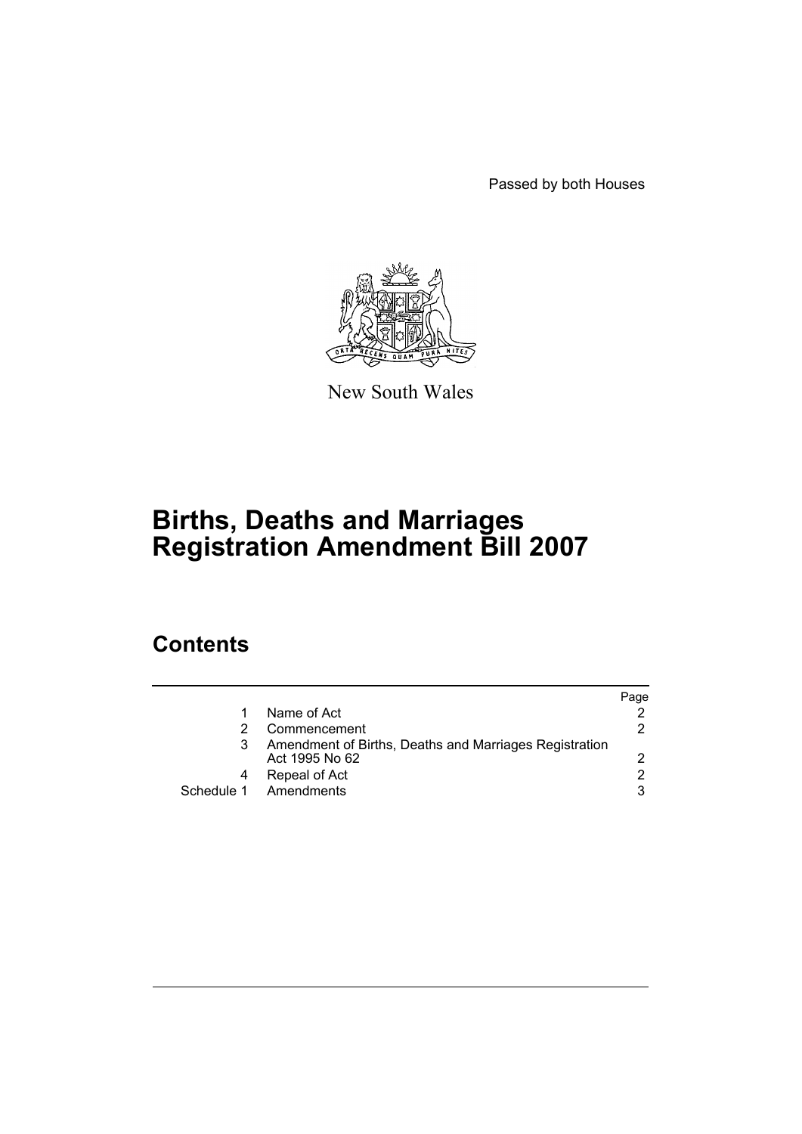Passed by both Houses



New South Wales

# **Births, Deaths and Marriages Registration Amendment Bill 2007**

## **Contents**

|   |                                                                          | Page |
|---|--------------------------------------------------------------------------|------|
| 1 | Name of Act                                                              |      |
|   | Commencement                                                             | 2.   |
| 3 | Amendment of Births, Deaths and Marriages Registration<br>Act 1995 No 62 |      |
|   | Repeal of Act                                                            | 2    |
|   | Schedule 1 Amendments                                                    | 3    |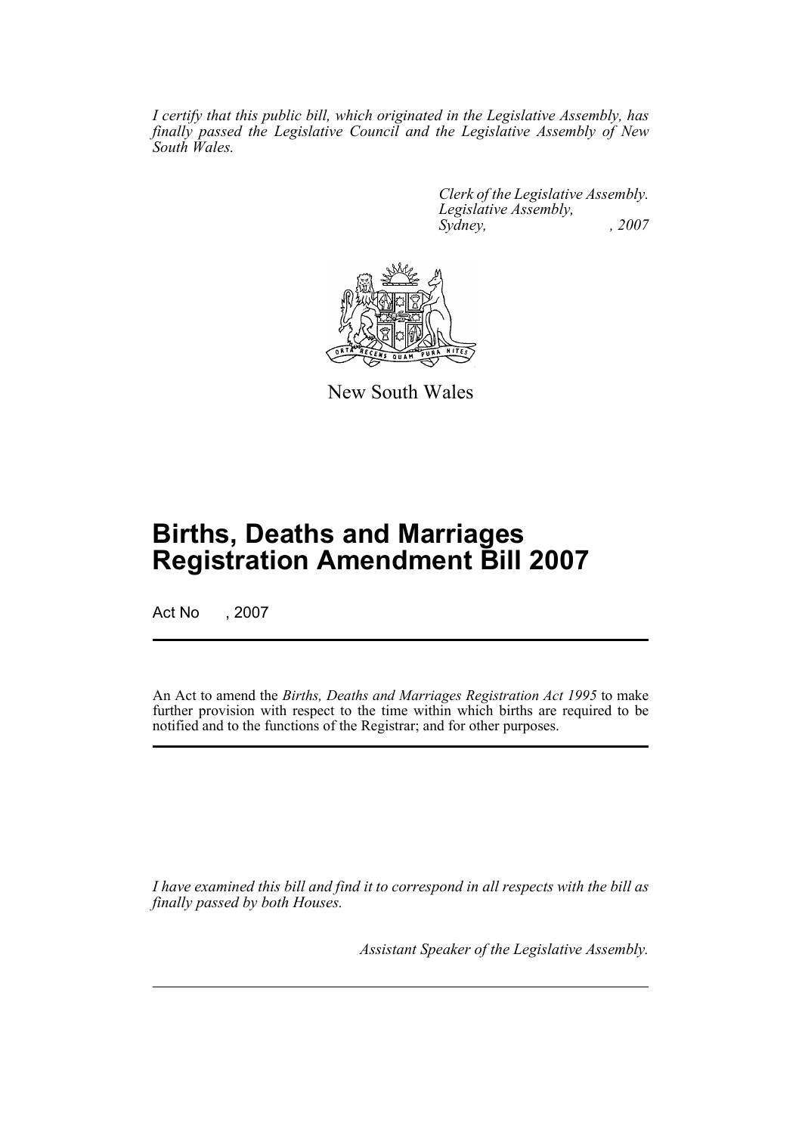*I certify that this public bill, which originated in the Legislative Assembly, has finally passed the Legislative Council and the Legislative Assembly of New South Wales.*

> *Clerk of the Legislative Assembly. Legislative Assembly, Sydney, , 2007*



New South Wales

## **Births, Deaths and Marriages Registration Amendment Bill 2007**

Act No , 2007

An Act to amend the *Births, Deaths and Marriages Registration Act 1995* to make further provision with respect to the time within which births are required to be notified and to the functions of the Registrar; and for other purposes.

*I have examined this bill and find it to correspond in all respects with the bill as finally passed by both Houses.*

*Assistant Speaker of the Legislative Assembly.*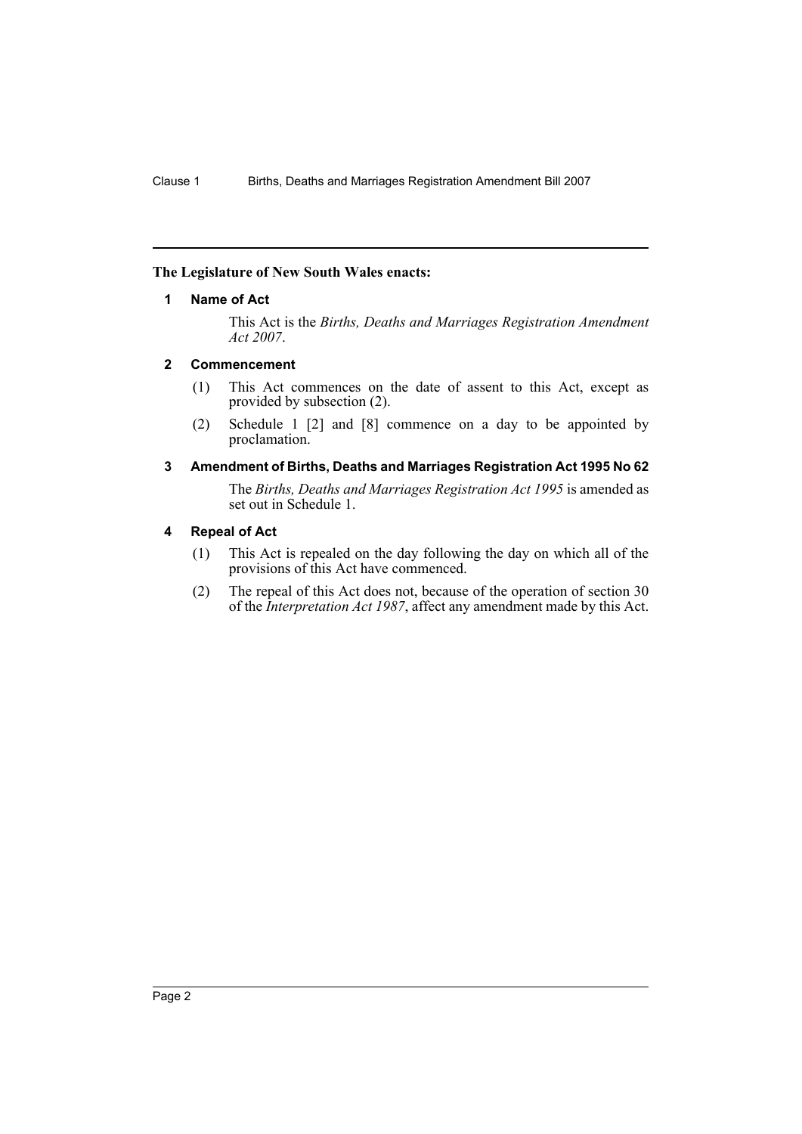#### <span id="page-2-0"></span>**The Legislature of New South Wales enacts:**

#### **1 Name of Act**

This Act is the *Births, Deaths and Marriages Registration Amendment Act 2007*.

#### <span id="page-2-1"></span>**2 Commencement**

- (1) This Act commences on the date of assent to this Act, except as provided by subsection (2).
- (2) Schedule 1 [2] and [8] commence on a day to be appointed by proclamation.

### <span id="page-2-2"></span>**3 Amendment of Births, Deaths and Marriages Registration Act 1995 No 62**

The *Births, Deaths and Marriages Registration Act 1995* is amended as set out in Schedule 1.

#### <span id="page-2-3"></span>**4 Repeal of Act**

- (1) This Act is repealed on the day following the day on which all of the provisions of this Act have commenced.
- (2) The repeal of this Act does not, because of the operation of section 30 of the *Interpretation Act 1987*, affect any amendment made by this Act.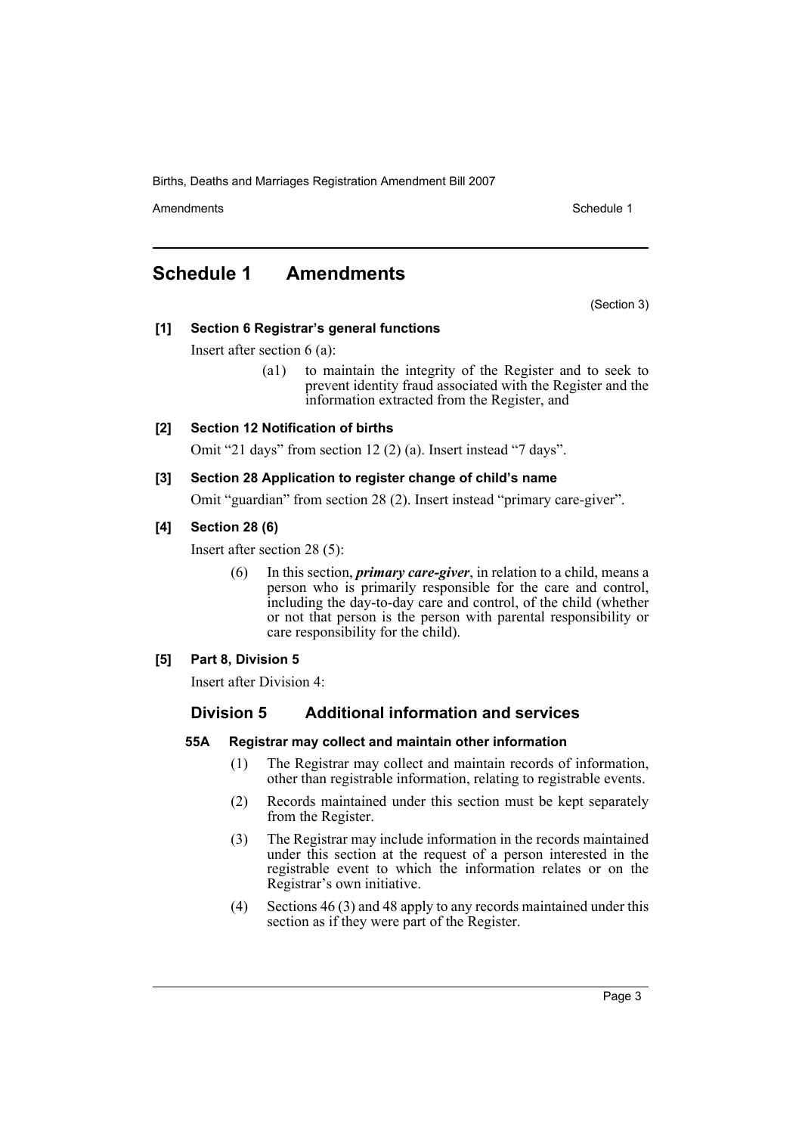Births, Deaths and Marriages Registration Amendment Bill 2007

Amendments **Amendments** Schedule 1

## <span id="page-3-0"></span>**Schedule 1 Amendments**

(Section 3)

#### **[1] Section 6 Registrar's general functions**

Insert after section 6 (a):

(a1) to maintain the integrity of the Register and to seek to prevent identity fraud associated with the Register and the information extracted from the Register, and

#### **[2] Section 12 Notification of births**

Omit "21 days" from section 12 (2) (a). Insert instead "7 days".

#### **[3] Section 28 Application to register change of child's name**

Omit "guardian" from section 28 (2). Insert instead "primary care-giver".

#### **[4] Section 28 (6)**

Insert after section 28 (5):

(6) In this section, *primary care-giver*, in relation to a child, means a person who is primarily responsible for the care and control, including the day-to-day care and control, of the child (whether or not that person is the person with parental responsibility or care responsibility for the child).

#### **[5] Part 8, Division 5**

Insert after Division 4:

#### **Division 5 Additional information and services**

#### **55A Registrar may collect and maintain other information**

- (1) The Registrar may collect and maintain records of information, other than registrable information, relating to registrable events.
- (2) Records maintained under this section must be kept separately from the Register.
- (3) The Registrar may include information in the records maintained under this section at the request of a person interested in the registrable event to which the information relates or on the Registrar's own initiative.
- (4) Sections 46 (3) and 48 apply to any records maintained under this section as if they were part of the Register.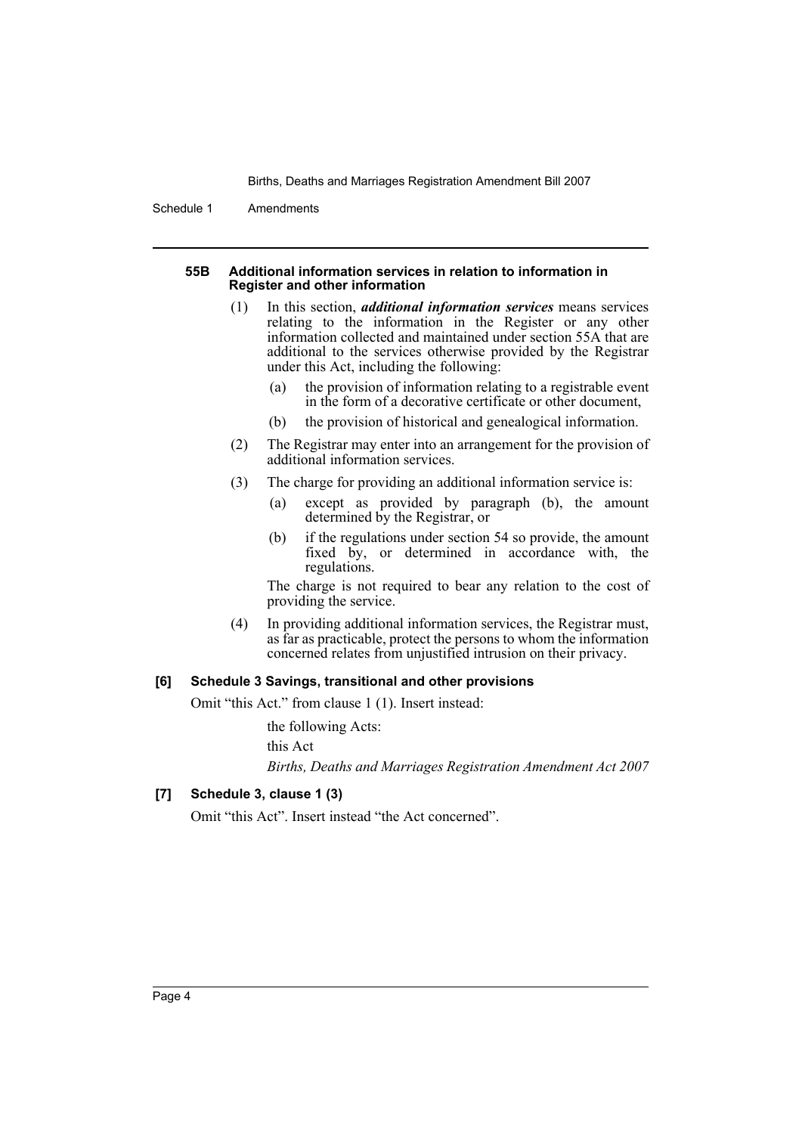Births, Deaths and Marriages Registration Amendment Bill 2007

Schedule 1 Amendments

#### **55B Additional information services in relation to information in Register and other information**

- (1) In this section, *additional information services* means services relating to the information in the Register or any other information collected and maintained under section 55A that are additional to the services otherwise provided by the Registrar under this Act, including the following:
	- (a) the provision of information relating to a registrable event in the form of a decorative certificate or other document,
	- (b) the provision of historical and genealogical information.
- (2) The Registrar may enter into an arrangement for the provision of additional information services.
- (3) The charge for providing an additional information service is:
	- (a) except as provided by paragraph (b), the amount determined by the Registrar, or
	- (b) if the regulations under section 54 so provide, the amount fixed by, or determined in accordance with, the regulations.

The charge is not required to bear any relation to the cost of providing the service.

(4) In providing additional information services, the Registrar must, as far as practicable, protect the persons to whom the information concerned relates from unjustified intrusion on their privacy.

#### **[6] Schedule 3 Savings, transitional and other provisions**

Omit "this Act." from clause 1 (1). Insert instead:

the following Acts:

this Act

*Births, Deaths and Marriages Registration Amendment Act 2007*

#### **[7] Schedule 3, clause 1 (3)**

Omit "this Act". Insert instead "the Act concerned".